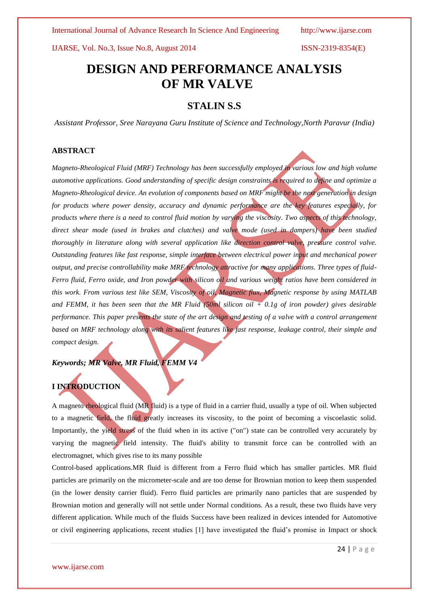# **DESIGN AND PERFORMANCE ANALYSIS OF MR VALVE**

## **STALIN S.S**

*Assistant Professor, Sree Narayana Guru Institute of Science and Technology,North Paravur (India)*

### **ABSTRACT**

*Magneto-Rheological Fluid (MRF) Technology has been successfully employed in various low and high volume automotive applications. Good understanding of specific design constraints is required to define and optimize a Magneto-Rheological device. An evolution of components based on MRF might be the next generation in design for products where power density, accuracy and dynamic performance are the key features especially, for products where there is a need to control fluid motion by varying the viscosity. Two aspects of this technology, direct shear mode (used in brakes and clutches) and valve mode (used in dampers) have been studied thoroughly in literature along with several application like direction control valve, pressure control valve. Outstanding features like fast response, simple interface between electrical power input and mechanical power output, and precise controllability make MRF technology attractive for many applications. Three types of fluid-Ferro fluid, Ferro oxide, and Iron powder with silicon oil and various weight ratios have been considered in this work. From various test like SEM, Viscosity of oil, Magnetic flux, Magnetic response by using MATLAB*  and FEMM, it has been seen that the MR Fluid (50ml silicon oil  $+$  0.1g of iron powder) gives desirable *performance. This paper presents the state of the art design and testing of a valve with a control arrangement based on MRF technology along with its salient features like fast response, leakage control, their simple and compact design.*

*Keywords; MR Valve, MR Fluid, FEMM V4*

### **I INTRODUCTION**

A magneto rheological fluid (MR fluid) is a type of fluid in a carrier fluid, usually a type of oil. When subjected to a magnetic field, the fluid greatly increases its viscosity, to the point of becoming a viscoelastic solid. Importantly, the yield stress of the fluid when in its active ("on") state can be controlled very accurately by varying the magnetic field intensity. The fluid's ability to transmit force can be controlled with an electromagnet, which gives rise to its many possible

Control-based applications.MR fluid is different from a Ferro fluid which has smaller particles. MR fluid particles are primarily on the micrometer-scale and are too dense for Brownian motion to keep them suspended (in the lower density carrier fluid). Ferro fluid particles are primarily nano particles that are suspended by Brownian motion and generally will not settle under Normal conditions. As a result, these two fluids have very different application. While much of the fluids Success have been realized in devices intended for Automotive or civil engineering applications, recent studies [1] have investigated the fluid's promise in Impact or shock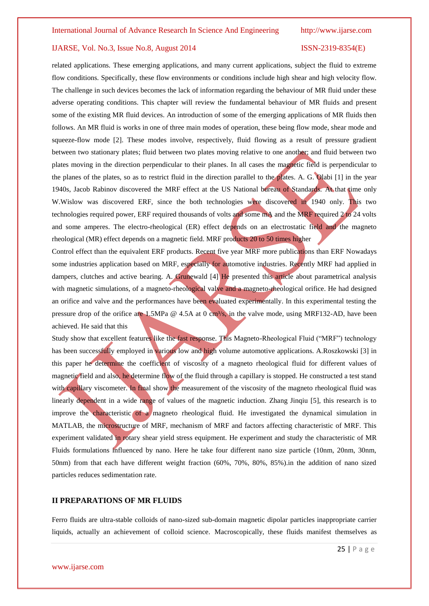related applications. These emerging applications, and many current applications, subject the fluid to extreme flow conditions. Specifically, these flow environments or conditions include high shear and high velocity flow. The challenge in such devices becomes the lack of information regarding the behaviour of MR fluid under these adverse operating conditions. This chapter will review the fundamental behaviour of MR fluids and present some of the existing MR fluid devices. An introduction of some of the emerging applications of MR fluids then follows. An MR fluid is works in one of three main modes of operation, these being flow mode, shear mode and squeeze-flow mode [2]. These modes involve, respectively, fluid flowing as a result of pressure gradient between two stationary plates; fluid between two plates moving relative to one another; and fluid between two plates moving in the direction perpendicular to their planes. In all cases the magnetic field is perpendicular to the planes of the plates, so as to restrict fluid in the direction parallel to the plates. A. G. Olabi [1] in the year 1940s, Jacob Rabinov discovered the MRF effect at the US National bureau of Standards. At that time only W.Wislow was discovered ERF, since the both technologies were discovered in 1940 only. This two technologies required power, ERF required thousands of volts and some mA and the MRF required 2 to 24 volts and some amperes. The electro-rheological (ER) effect depends on an electrostatic field and the magneto rheological (MR) effect depends on a magnetic field. MRF products 20 to 50 times higher

Control effect than the equivalent ERF products. Recent five year MRF more publications than ERF Nowadays some industries application based on MRF, especially for automotive industries. Recently MRF had applied in dampers, clutches and active bearing. A. Grunewald [4] He presented this article about parametrical analysis with magnetic simulations, of a magneto-rheological valve and a magneto-rheological orifice. He had designed an orifice and valve and the performances have been evaluated experimentally. In this experimental testing the pressure drop of the orifice are 1.5MPa  $\omega$  4.5A at 0 cm<sup>3</sup>/s, in the valve mode, using MRF132-AD, have been achieved. He said that this

Study show that excellent features like the fast response. This Magneto-Rheological Fluid ("MRF") technology has been successfully employed in various low and high volume automotive applications. A.Roszkowski [3] in this paper he determine the coefficient of viscosity of a magneto rheological fluid for different values of magnetic field and also, he determine flow of the fluid through a capillary is stopped. He constructed a test stand with capillary viscometer. In final show the measurement of the viscosity of the magneto rheological fluid was linearly dependent in a wide range of values of the magnetic induction. Zhang Jinqiu [5], this research is to improve the characteristic of a magneto rheological fluid. He investigated the dynamical simulation in MATLAB, the microstructure of MRF, mechanism of MRF and factors affecting characteristic of MRF. This experiment validated in rotary shear yield stress equipment. He experiment and study the characteristic of MR Fluids formulations influenced by nano. Here he take four different nano size particle (10nm, 20nm, 30nm, 50nm) from that each have different weight fraction (60%, 70%, 80%, 85%).in the addition of nano sized particles reduces sedimentation rate.

#### **II PREPARATIONS OF MR FLUIDS**

Ferro fluids are ultra-stable colloids of nano-sized sub-domain magnetic dipolar particles inappropriate carrier liquids, actually an achievement of colloid science. Macroscopically, these fluids manifest themselves as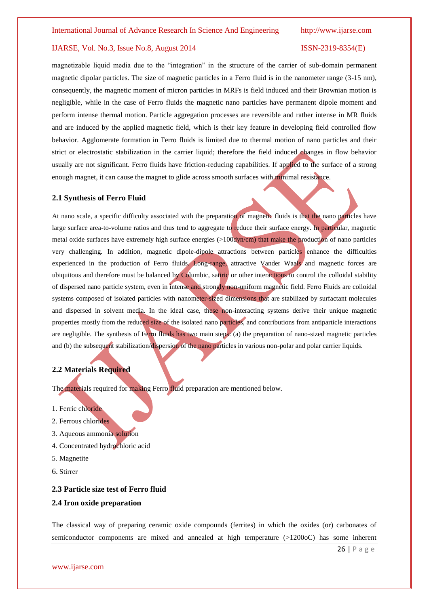magnetizable liquid media due to the "integration" in the structure of the carrier of sub-domain permanent magnetic dipolar particles. The size of magnetic particles in a Ferro fluid is in the nanometer range (3-15 nm), consequently, the magnetic moment of micron particles in MRFs is field induced and their Brownian motion is negligible, while in the case of Ferro fluids the magnetic nano particles have permanent dipole moment and perform intense thermal motion. Particle aggregation processes are reversible and rather intense in MR fluids and are induced by the applied magnetic field, which is their key feature in developing field controlled flow behavior. Agglomerate formation in Ferro fluids is limited due to thermal motion of nano particles and their strict or electrostatic stabilization in the carrier liquid; therefore the field induced changes in flow behavior usually are not significant. Ferro fluids have friction-reducing capabilities. If applied to the surface of a strong enough magnet, it can cause the magnet to glide across smooth surfaces with minimal resistance.

#### **2.1 Synthesis of Ferro Fluid**

At nano scale, a specific difficulty associated with the preparation of magnetic fluids is that the nano particles have large surface area-to-volume ratios and thus tend to aggregate to reduce their surface energy. In particular, magnetic metal oxide surfaces have extremely high surface energies (>100dyn/cm) that make the production of nano particles very challenging. In addition, magnetic dipole-dipole attractions between particles enhance the difficulties experienced in the production of Ferro fluids. Long-range, attractive Vander Waals and magnetic forces are ubiquitous and therefore must be balanced by Columbic, satiric or other interactions to control the colloidal stability of dispersed nano particle system, even in intense and strongly non-uniform magnetic field. Ferro Fluids are colloidal systems composed of isolated particles with nanometer-sized dimensions that are stabilized by surfactant molecules and dispersed in solvent media. In the ideal case, these non-interacting systems derive their unique magnetic properties mostly from the reduced size of the isolated nano particles, and contributions from antiparticle interactions are negligible. The synthesis of Ferro fluids has two main steps: (a) the preparation of nano-sized magnetic particles and (b) the subsequent stabilization/dispersion of the nano particles in various non-polar and polar carrier liquids.

#### **2.2 Materials Required**

The materials required for making Ferro fluid preparation are mentioned below.

- 1. Ferric chloride
- 2. Ferrous chlorides
- 3. Aqueous ammonia solution
- 4. Concentrated hydrochloric acid
- 5. Magnetite
- 6. Stirrer

#### **2.3 Particle size test of Ferro fluid**

#### **2.4 Iron oxide preparation**

The classical way of preparing ceramic oxide compounds (ferrites) in which the oxides (or) carbonates of semiconductor components are mixed and annealed at high temperature (>1200oC) has some inherent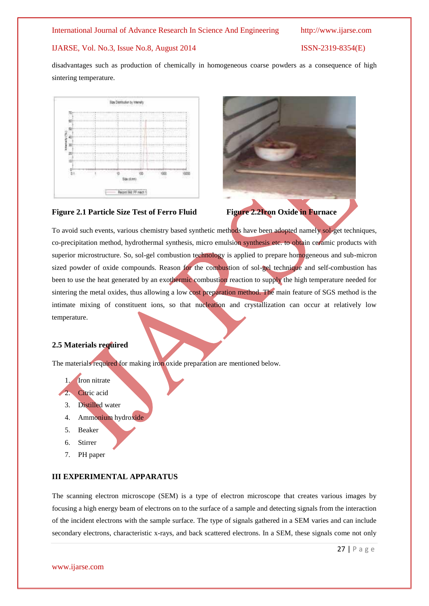#### IJARSE, Vol. No.3, Issue No.8, August 2014 ISSN-2319-8354(E)

disadvantages such as production of chemically in homogeneous coarse powders as a consequence of high sintering temperature.





To avoid such events, various chemistry based synthetic methods have been adopted namely sol-get techniques, co-precipitation method, hydrothermal synthesis, micro emulsion synthesis etc. to obtain ceramic products with superior microstructure. So, sol-gel combustion technology is applied to prepare homogeneous and sub-micron sized powder of oxide compounds. Reason for the combustion of sol-gel technique and self-combustion has been to use the heat generated by an exothermic combustion reaction to supply the high temperature needed for sintering the metal oxides, thus allowing a low cost preparation method. The main feature of SGS method is the intimate mixing of constituent ions, so that nucleation and crystallization can occur at relatively low temperature.

#### **2.5 Materials required**

The materials required for making iron oxide preparation are mentioned below.

### 1. Iron nitrate

- Citric acid
- 3. Distilled water
- 4. Ammonium hydroxide
- 5. Beaker
- 6. Stirrer
- 7. PH paper

### **III EXPERIMENTAL APPARATUS**

The scanning electron microscope (SEM) is a type of electron microscope that creates various images by focusing a high energy beam of electrons on to the surface of a sample and detecting signals from the interaction of the incident electrons with the sample surface. The type of signals gathered in a SEM varies and can include secondary electrons, characteristic x-rays, and back scattered electrons. In a SEM, these signals come not only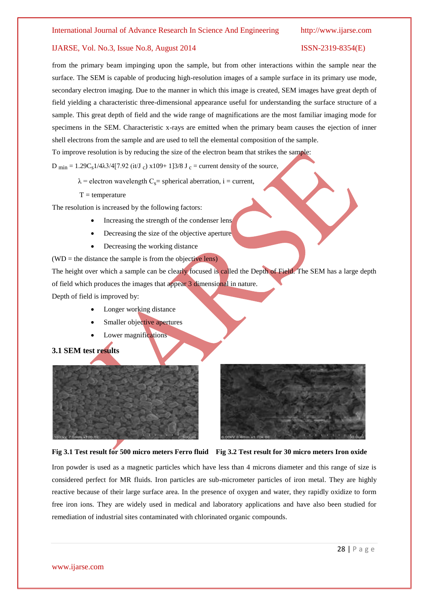from the primary beam impinging upon the sample, but from other interactions within the sample near the surface. The SEM is capable of producing high-resolution images of a sample surface in its primary use mode, secondary electron imaging. Due to the manner in which this image is created, SEM images have great depth of field yielding a characteristic three-dimensional appearance useful for understanding the surface structure of a sample. This great depth of field and the wide range of magnifications are the most familiar imaging mode for specimens in the SEM. Characteristic x-rays are emitted when the primary beam causes the ejection of inner shell electrons from the sample and are used to tell the elemental composition of the sample.

To improve resolution is by reducing the size of the electron beam that strikes the sample:

D min = 1.29C<sub>s</sub>1/4λ3/4[7.92 (it/J<sub>c</sub>) x109+ 1]3/8 J<sub>c</sub> = current density of the source,

- $\lambda$  = electron wavelength C<sub>s</sub>= spherical aberration, i = current,
- $T = temperature$

The resolution is increased by the following factors:

- Increasing the strength of the condenser lens
- Decreasing the size of the objective aperture
- Decreasing the working distance

 $(WD)$  = the distance the sample is from the objective lens) The height over which a sample can be clearly focused is called the Depth of Field. The SEM has a large depth of field which produces the images that appear 3 dimensional in nature. Depth of field is improved by:

- Longer working distance
- Smaller objective apertures
- Lower magnifications

### **3.1 SEM test results**





**Fig 3.1 Test result for 500 micro meters Ferro fluid Fig 3.2 Test result for 30 micro meters Iron oxide**

Iron powder is used as a magnetic particles which have less than 4 microns diameter and this range of size is considered perfect for MR fluids. Iron particles are sub-micrometer particles of iron metal. They are highly reactive because of their large surface area. In the presence of oxygen and water, they rapidly oxidize to form free iron ions. They are widely used in medical and laboratory applications and have also been studied for remediation of industrial sites contaminated with chlorinated organic compounds.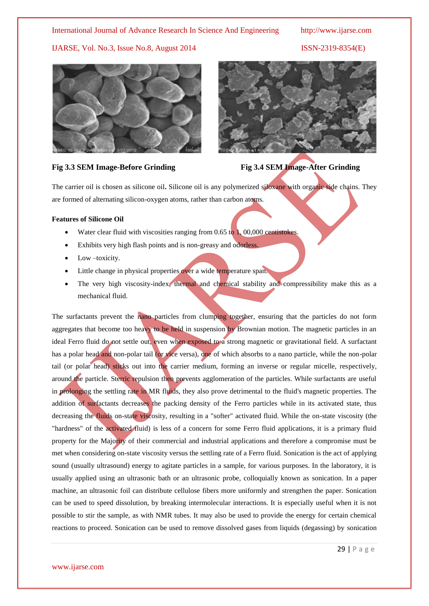#### IJARSE, Vol. No.3, Issue No.8, August 2014 ISSN-2319-8354(E)



#### **Fig 3.3 SEM Image-Before Grinding Fig 3.4 SEM Image-After Grinding**



The carrier oil is chosen as silicone oil**.** Silicone oil is any polymerized siloxane with organic side chains. They are formed of alternating silicon-oxygen atoms, rather than carbon atoms.

#### **Features of Silicone Oil**

- Water clear fluid with viscosities ranging from 0.65 to 1,00,000 centistokes.
- Exhibits very high flash points and is non-greasy and odorless.
- Low –toxicity.
- Little change in physical properties over a wide temperature span.
- The very high viscosity-index, thermal and chemical stability and compressibility make this as a mechanical fluid.

The surfactants prevent the nano particles from clumping together, ensuring that the particles do not form aggregates that become too heavy to be held in suspension by Brownian motion. The magnetic particles in an ideal Ferro fluid do not settle out, even when exposed to a strong magnetic or gravitational field. A surfactant has a polar head and non-polar tail (or vice versa), one of which absorbs to a nano particle, while the non-polar tail (or polar head) sticks out into the carrier medium, forming an inverse or regular micelle, respectively, around the particle. Sterric repulsion then prevents agglomeration of the particles. While surfactants are useful in prolonging the settling rate in MR fluids, they also prove detrimental to the fluid's magnetic properties. The addition of surfactants decreases the packing density of the Ferro particles while in its activated state, thus decreasing the fluids on-state viscosity, resulting in a "softer" activated fluid. While the on-state viscosity (the "hardness" of the activated fluid) is less of a concern for some Ferro fluid applications, it is a primary fluid property for the Majority of their commercial and industrial applications and therefore a compromise must be met when considering on-state viscosity versus the settling rate of a Ferro fluid. Sonication is the act of applying sound (usually ultrasound) energy to agitate particles in a sample, for various purposes. In the laboratory, it is usually applied using an ultrasonic bath or an ultrasonic probe, colloquially known as sonication. In a paper machine, an ultrasonic foil can distribute cellulose fibers more uniformly and strengthen the paper. Sonication can be used to speed dissolution, by breaking intermolecular interactions. It is especially useful when it is not possible to stir the sample, as with NMR tubes. It may also be used to provide the energy for certain chemical reactions to proceed. Sonication can be used to remove dissolved gases from liquids (degassing) by sonication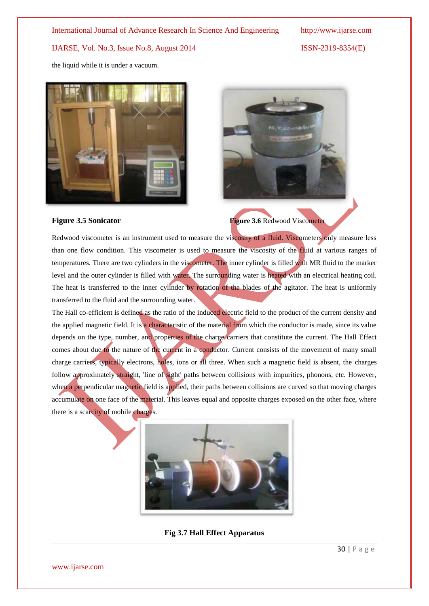the liquid while it is under a vacuum.





**Figure 3.5 Sonicator Figure 3.6** Redwood Viscometer

Redwood viscometer is an instrument used to measure the viscosity of a fluid. Viscometers only measure less than one flow condition. This viscometer is used to measure the viscosity of the fluid at various ranges of temperatures. There are two cylinders in the viscometer. The inner cylinder is filled with MR fluid to the marker level and the outer cylinder is filled with water. The surrounding water is heated with an electrical heating coil. The heat is transferred to the inner cylinder by rotation of the blades of the agitator. The heat is uniformly transferred to the fluid and the surrounding water.

The Hall co-efficient is defined as the ratio of the induced electric field to the product of the current density and the applied magnetic field. It is a characteristic of the material from which the conductor is made, since its value depends on the type, number, and properties of the charge carriers that constitute the current. The Hall Effect comes about due to the nature of the current in a conductor. Current consists of the movement of many small charge carriers, typically electrons, holes, ions or all three. When such a magnetic field is absent, the charges follow approximately straight, 'line of sight' paths between collisions with impurities, phonons, etc. However, when a perpendicular magnetic field is applied, their paths between collisions are curved so that moving charges accumulate on one face of the material. This leaves equal and opposite charges exposed on the other face, where there is a scarcity of mobile charges.



**Fig 3.7 Hall Effect Apparatus**

www.ijarse.com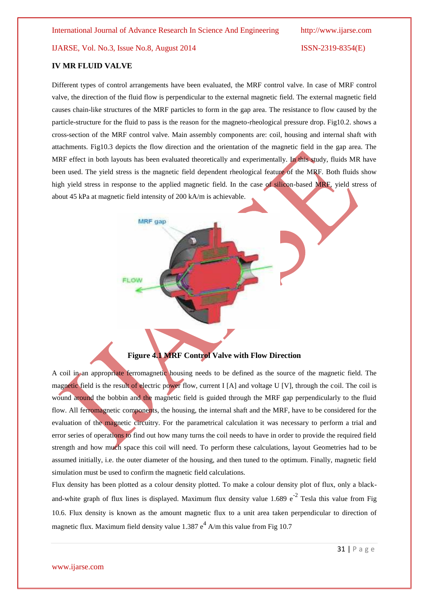#### **IV MR FLUID VALVE**

Different types of control arrangements have been evaluated, the MRF control valve. In case of MRF control valve, the direction of the fluid flow is perpendicular to the external magnetic field. The external magnetic field causes chain-like structures of the MRF particles to form in the gap area. The resistance to flow caused by the particle-structure for the fluid to pass is the reason for the magneto-rheological pressure drop. Fig10.2. shows a cross-section of the MRF control valve. Main assembly components are: coil, housing and internal shaft with attachments. Fig10.3 depicts the flow direction and the orientation of the magnetic field in the gap area. The MRF effect in both layouts has been evaluated theoretically and experimentally. In this study, fluids MR have been used. The yield stress is the magnetic field dependent rheological feature of the MRF. Both fluids show high yield stress in response to the applied magnetic field. In the case of silicon-based MRF, yield stress of about 45 kPa at magnetic field intensity of 200 kA/m is achievable.



A coil in an appropriate ferromagnetic housing needs to be defined as the source of the magnetic field. The magnetic field is the result of electric power flow, current I [A] and voltage U [V], through the coil. The coil is wound around the bobbin and the magnetic field is guided through the MRF gap perpendicularly to the fluid flow. All ferromagnetic components, the housing, the internal shaft and the MRF, have to be considered for the evaluation of the magnetic circuitry. For the parametrical calculation it was necessary to perform a trial and error series of operations to find out how many turns the coil needs to have in order to provide the required field strength and how much space this coil will need. To perform these calculations, layout Geometries had to be assumed initially, i.e. the outer diameter of the housing, and then tuned to the optimum. Finally, magnetic field simulation must be used to confirm the magnetic field calculations.

Flux density has been plotted as a colour density plotted. To make a colour density plot of flux, only a blackand-white graph of flux lines is displayed. Maximum flux density value 1.689  $e^{-2}$  Tesla this value from Fig 10.6. Flux density is known as the amount magnetic flux to a unit area taken perpendicular to direction of magnetic flux. Maximum field density value 1.387  $e^4$  A/m this value from Fig 10.7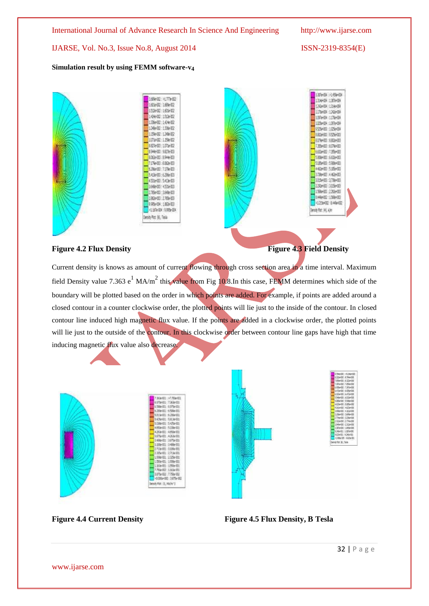### **Simulation result by using FEMM software-v<sup>4</sup>**





### Figure 4.2 Flux Density **Figure 4.3 Field Density**



Current density is knows as amount of current flowing through cross section area in a time interval. Maximum field Density value 7.363 e<sup>1</sup> MA/m<sup>2</sup> this value from Fig 10.8.In this case, FEMM determines which side of the boundary will be plotted based on the order in which points are added. For example, if points are added around a closed contour in a counter clockwise order, the plotted points will lie just to the inside of the contour. In closed contour line induced high magnetic flux value. If the points are added in a clockwise order, the plotted points will lie just to the outside of the contour. In this clockwise order between contour line gaps have high that time inducing magnetic flux value also decrease.





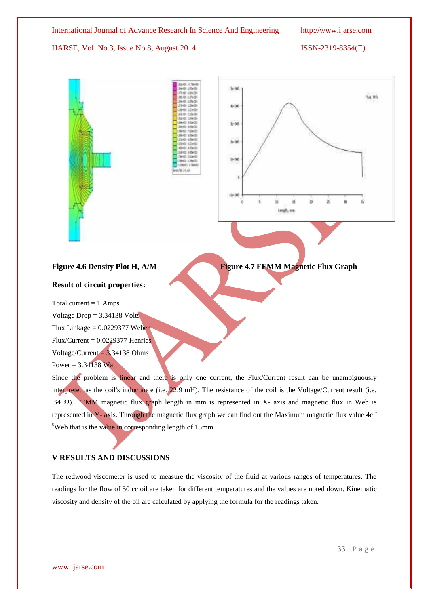Flux, Wh

IJARSE, Vol. No.3, Issue No.8, August 2014 ISSN-2319-8354(E)



### Figure 4.6 Density Plot H, A/M **Figure 4.7 FEMM Magnetic Flux Graph**

#### **Result of circuit properties:**

Total current  $= 1$  Amps

Voltage  $Drop = 3.34138$  Volts

Flux Linkage  $= 0.0229377$  Weber

 $Flux/Current = 0.0229377$  Henries

Voltage/Current  $= 3.34138$  Ohms

Power =  $3.34138$  Watt

Since the problem is linear and there is only one current, the Flux/Current result can be unambiguously interpreted as the coil's inductance (i.e. 22.9 mH). The resistance of the coil is the Voltage/Current result (i.e. .34 Ω). FEMM magnetic flux graph length in mm is represented in X- axis and magnetic flux in Web is represented in Y- axis. Through the magnetic flux graph we can find out the Maximum magnetic flux value 4e - <sup>5</sup>Web that is the value in corresponding length of 15mm.

### **V RESULTS AND DISCUSSIONS**

The redwood viscometer is used to measure the viscosity of the fluid at various ranges of temperatures. The readings for the flow of 50 cc oil are taken for different temperatures and the values are noted down. Kinematic viscosity and density of the oil are calculated by applying the formula for the readings taken.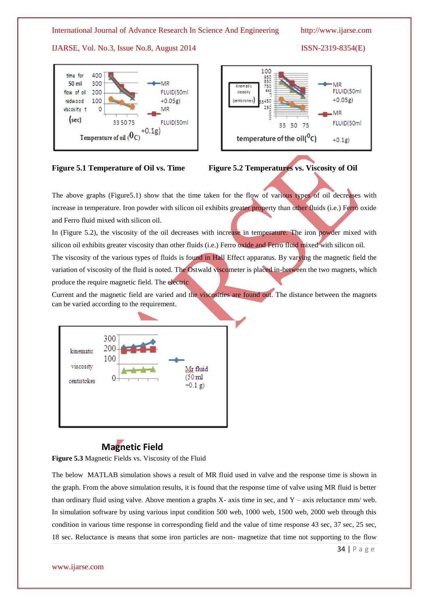### IJARSE, Vol. No.3, Issue No.8, August 2014 ISSN-2319-8354(E)









The above graphs (Figure5.1) show that the time taken for the flow of various types of oil decreases with increase in temperature. Iron powder with silicon oil exhibits greater property than other fluids (i.e.) Ferro oxide and Ferro fluid mixed with silicon oil.

In (Figure 5.2), the viscosity of the oil decreases with increase in temperature. The iron powder mixed with silicon oil exhibits greater viscosity than other fluids (i.e.) Ferro oxide and Ferro fluid mixed with silicon oil.

The viscosity of the various types of fluids is found in Hall Effect apparatus. By varying the magnetic field the variation of viscosity of the fluid is noted. The Ostwald viscometer is placed in-between the two magnets, which produce the require magnetic field. The electric

Current and the magnetic field are varied and the viscosities are found out. The distance between the magnets can be varied according to the requirement.



# **Magnetic Field**

**Figure 5.3** Magnetic Fields vs. Viscosity of the Fluid

The below MATLAB simulation shows a result of MR fluid used in valve and the response time is shown in the graph. From the above simulation results, it is found that the response time of valve using MR fluid is better than ordinary fluid using valve. Above mention a graphs  $X$ - axis time in sec, and  $Y$  – axis reluctance mm/ web. In simulation software by using various input condition 500 web, 1000 web, 1500 web, 2000 web through this condition in various time response in corresponding field and the value of time response 43 sec, 37 sec, 25 sec, 18 sec. Reluctance is means that some iron particles are non- magnetize that time not supporting to the flow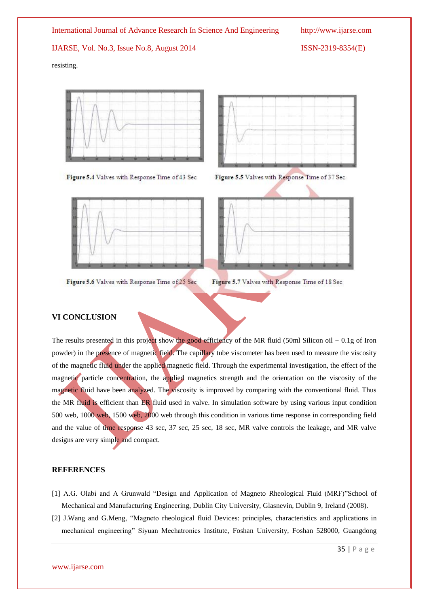resisting.





Figure 5.4 Valves with Response Time of 43 Sec





Figure 5.6 Valves with Response Time of 25 Sec

Figure 5.7 Valves with Response Time of 18 Sec

### **VI CONCLUSION**

The results presented in this project show the good efficiency of the MR fluid (50ml Silicon oil  $+0.1g$  of Iron powder) in the presence of magnetic field. The capillary tube viscometer has been used to measure the viscosity of the magnetic fluid under the applied magnetic field. Through the experimental investigation, the effect of the magnetic particle concentration, the applied magnetics strength and the orientation on the viscosity of the magnetic fluid have been analyzed. The viscosity is improved by comparing with the conventional fluid. Thus the MR fluid is efficient than ER fluid used in valve. In simulation software by using various input condition 500 web, 1000 web, 1500 web, 2000 web through this condition in various time response in corresponding field and the value of time response 43 sec, 37 sec, 25 sec, 18 sec, MR valve controls the leakage, and MR valve designs are very simple and compact.

### **REFERENCES**

- [1] A.G. Olabi and A Grunwald "Design and Application of Magneto Rheological Fluid (MRF)"School of Mechanical and Manufacturing Engineering, Dublin City University, Glasnevin, Dublin 9, Ireland (2008).
- [2] J.Wang and G.Meng, "Magneto rheological fluid Devices: principles, characteristics and applications in mechanical engineering" Siyuan Mechatronics Institute, Foshan University, Foshan 528000, Guangdong